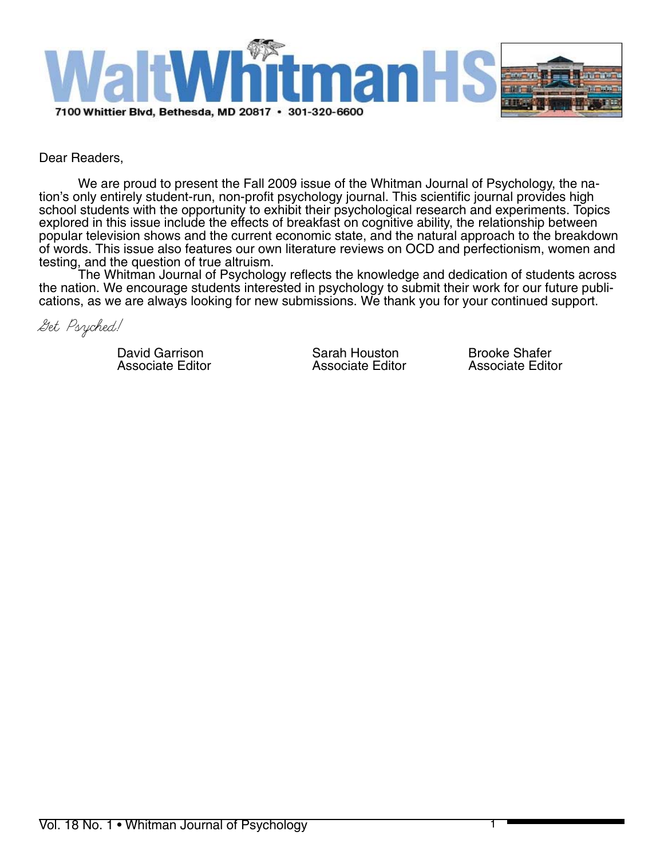

# Dear Readers,

We are proud to present the Fall 2009 issue of the Whitman Journal of Psychology, the na- tion's only entirely student-run, non-profit psychology journal. This scientific journal provides high school students with the opportunity to exhibit their psychological research and experiments. Topics explored in this issue include the effects of breakfast on cognitive ability, the relationship between popular television shows and the current economic state, and the natural approach to the breakdown of words. This issue also features our own literature reviews on OCD and perfectionism, women and testing, and the question of true altruism.

The Whitman Journal of Psychology reflects the knowledge and dedication of students across<br>the nation. We encourage students interested in psychology to submit their work for our future publications, as we are always looking for new submissions. We thank you for your continued support.

Get Psyched!

David Garrison **Sarah Houston** Brooke Shafer<br>
Associate Editor Associate Editor Associate Editor

Associate Editor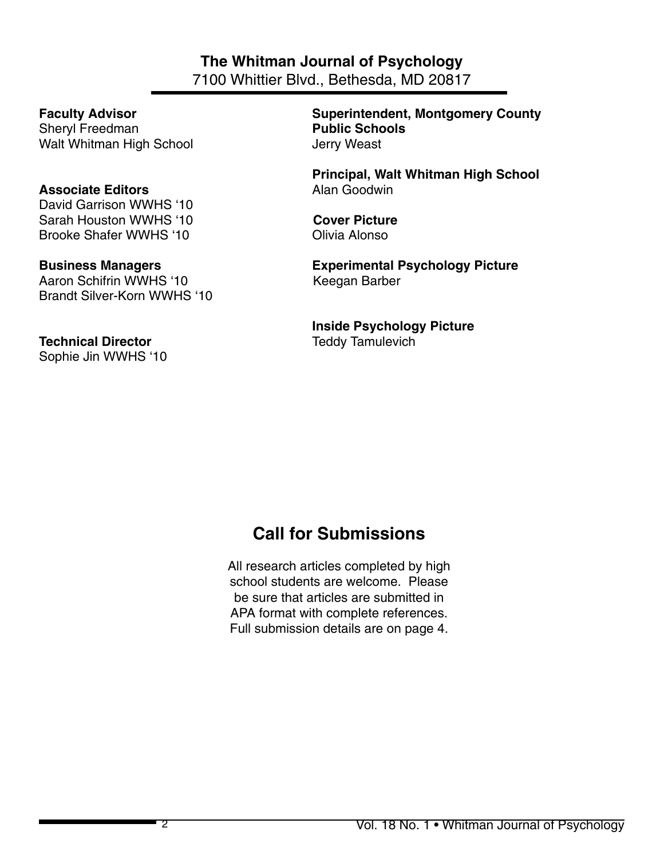# **The Whitman Journal of Psychology**

7100 Whittier Blvd., Bethesda, MD 20817

**Sheryl Freedman Public Schools** Walt Whitman High School Verry Weast

# **Associate Editors Alan Goodwin**

David Garrison WWHS '10 Sarah Houston WWHS '10 **Cover Picture** Brooke Shafer WWHS '10 **Olivia Alonso** 

Aaron Schifrin WWHS '10 Keegan Barber Brandt Silver-Korn WWHS '10

# **Technical Director Technical Director Teddy Tamulevich**

Sophie Jin WWHS '10

**Faculty Advisor County County Superintendent, Montgomery County** 

**Principal, Walt Whitman High School**

**Business Managers Experimental Psychology Picture** 

 **Inside Psychology Picture**

# **Call for Submissions**

All research articles completed by high school students are welcome. Please be sure that articles are submitted in APA format with complete references. Full submission details are on page 4.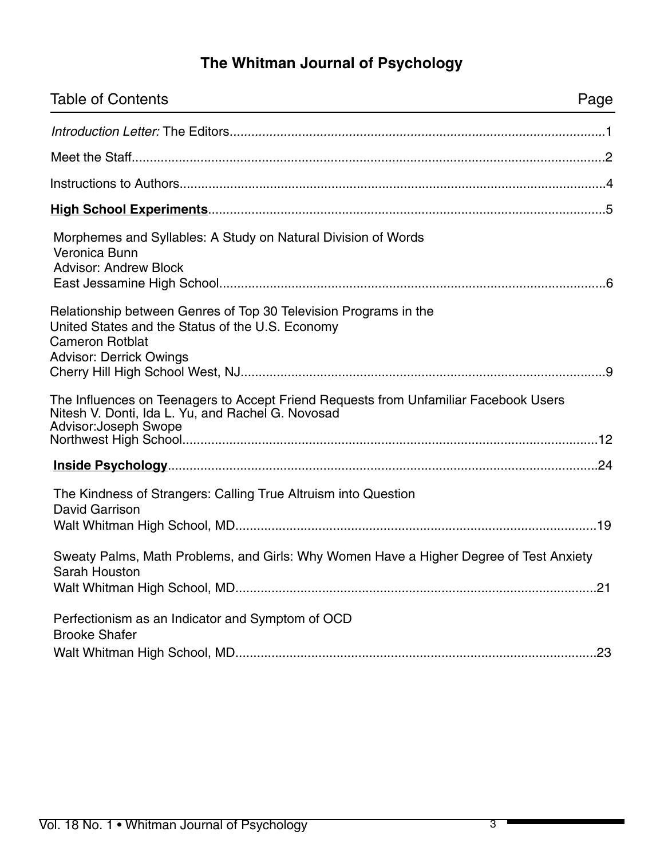# **The Whitman Journal of Psychology**

| <b>Table of Contents</b>                                                                                                                                                         | Page |
|----------------------------------------------------------------------------------------------------------------------------------------------------------------------------------|------|
|                                                                                                                                                                                  |      |
|                                                                                                                                                                                  |      |
|                                                                                                                                                                                  |      |
|                                                                                                                                                                                  |      |
| Morphemes and Syllables: A Study on Natural Division of Words<br>Veronica Bunn<br><b>Advisor: Andrew Block</b>                                                                   |      |
| Relationship between Genres of Top 30 Television Programs in the<br>United States and the Status of the U.S. Economy<br><b>Cameron Rotblat</b><br><b>Advisor: Derrick Owings</b> |      |
| The Influences on Teenagers to Accept Friend Requests from Unfamiliar Facebook Users<br>Nitesh V. Donti, Ida L. Yu, and Rachel G. Novosad<br><b>Advisor: Joseph Swope</b>        |      |
|                                                                                                                                                                                  |      |
| The Kindness of Strangers: Calling True Altruism into Question<br><b>David Garrison</b>                                                                                          |      |
| Sweaty Palms, Math Problems, and Girls: Why Women Have a Higher Degree of Test Anxiety<br>Sarah Houston                                                                          |      |
| Perfectionism as an Indicator and Symptom of OCD<br><b>Brooke Shafer</b>                                                                                                         |      |
|                                                                                                                                                                                  | .23  |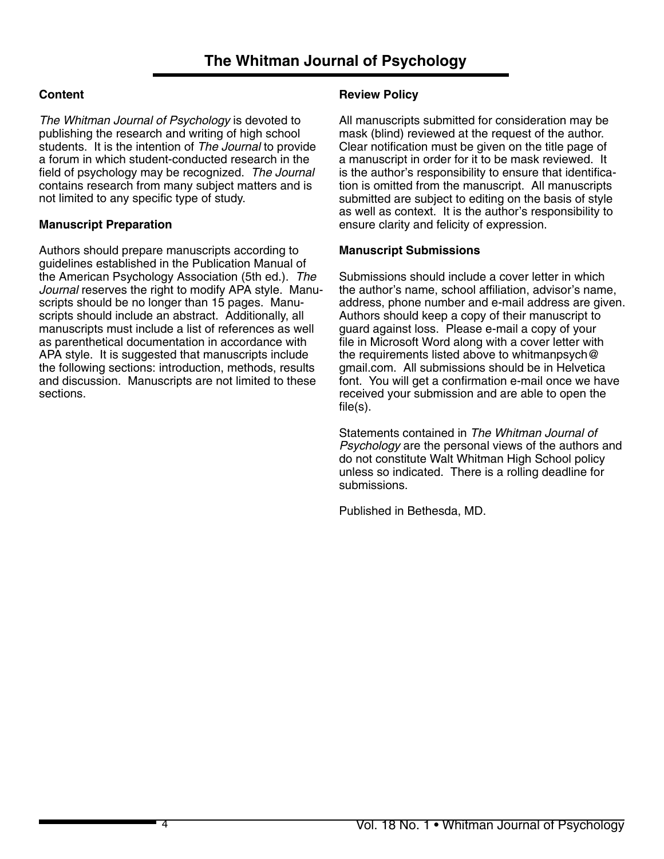# **Content**

*The Whitman Journal of Psychology* is devoted to publishing the research and writing of high school students. It is the intention of *The Journal* to provide a forum in which student-conducted research in the field of psychology may be recognized. *The Journal*  contains research from many subject matters and is not limited to any specific type of study.

# **Manuscript Preparation**

Authors should prepare manuscripts according to guidelines established in the Publication Manual of the American Psychology Association (5th ed.). *The Journal* reserves the right to modify APA style. Manuscripts should be no longer than 15 pages. Manuscripts should include an abstract. Additionally, all manuscripts must include a list of references as well as parenthetical documentation in accordance with APA style. It is suggested that manuscripts include the following sections: introduction, methods, results and discussion. Manuscripts are not limited to these sections.

# **Review Policy**

All manuscripts submitted for consideration may be mask (blind) reviewed at the request of the author. Clear notification must be given on the title page of a manuscript in order for it to be mask reviewed. It is the author's responsibility to ensure that identification is omitted from the manuscript. All manuscripts submitted are subject to editing on the basis of style as well as context. It is the author's responsibility to ensure clarity and felicity of expression.

# **Manuscript Submissions**

Submissions should include a cover letter in which the author's name, school affiliation, advisor's name, address, phone number and e-mail address are given. Authors should keep a copy of their manuscript to guard against loss. Please e-mail a copy of your file in Microsoft Word along with a cover letter with the requirements listed above to whitmanpsych@ gmail.com. All submissions should be in Helvetica font. You will get a confirmation e-mail once we have received your submission and are able to open the file(s).

Statements contained in *The Whitman Journal of Psychology* are the personal views of the authors and do not constitute Walt Whitman High School policy unless so indicated. There is a rolling deadline for submissions.

Published in Bethesda, MD.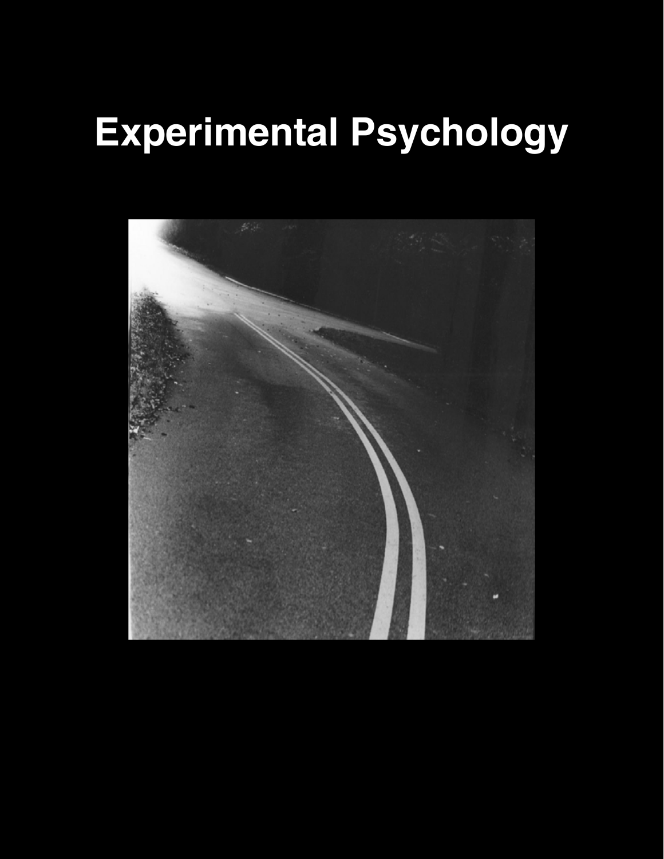# **Experimental Psychology**

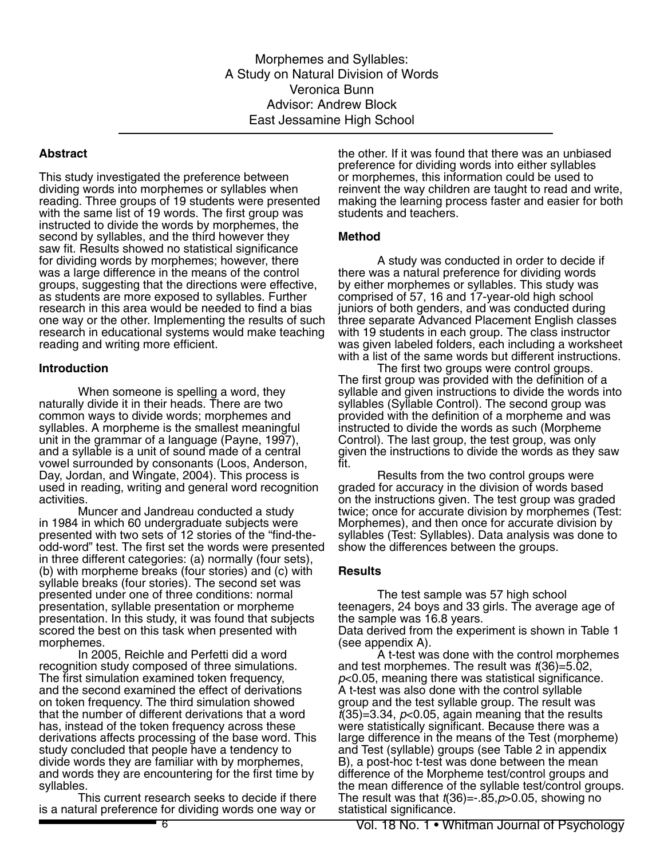Morphemes and Syllables: A Study on Natural Division of Words Veronica Bunn Advisor: Andrew Block East Jessamine High School

#### **Abstract**

This study investigated the preference between dividing words into morphemes or syllables when reading. Three groups of 19 students were presented with the same list of 19 words. The first group was instructed to divide the words by morphemes, the second by syllables, and the third however they saw fit. Results showed no statistical significance for dividing words by morphemes; however, there was a large difference in the means of the control groups, suggesting that the directions were effective, as students are more exposed to syllables. Further research in this area would be needed to find a bias one way or the other. Implementing the results of such research in educational systems would make teaching reading and writing more efficient.

#### **Introduction**

When someone is spelling a word, they naturally divide it in their heads. There are two common ways to divide words; morphemes and syllables. A morpheme is the smallest meaningful unit in the grammar of a language (Payne, 1997), and a syllable is a unit of sound made of a central vowel surrounded by consonants (Loos, Anderson, Day, Jordan, and Wingate, 2004). This process is used in reading, writing and general word recognition activities.

Muncer and Jandreau conducted a study in 1984 in which 60 undergraduate subjects were presented with two sets of 12 stories of the "find-theodd-word" test. The first set the words were presented in three different categories: (a) normally (four sets), (b) with morpheme breaks (four stories) and (c) with syllable breaks (four stories). The second set was presented under one of three conditions: normal presentation, syllable presentation or morpheme presentation. In this study, it was found that subjects scored the best on this task when presented with morphemes.

In 2005, Reichle and Perfetti did a word recognition study composed of three simulations. The first simulation examined token frequency, and the second examined the effect of derivations on token frequency. The third simulation showed that the number of different derivations that a word has, instead of the token frequency across these derivations affects processing of the base word. This study concluded that people have a tendency to divide words they are familiar with by morphemes, and words they are encountering for the first time by syllables.

This current research seeks to decide if there is a natural preference for dividing words one way or

the other. If it was found that there was an unbiased preference for dividing words into either syllables or morphemes, this information could be used to reinvent the way children are taught to read and write, making the learning process faster and easier for both students and teachers.

#### **Method**

A study was conducted in order to decide if there was a natural preference for dividing words by either morphemes or syllables. This study was comprised of 57, 16 and 17-year-old high school juniors of both genders, and was conducted during three separate Advanced Placement English classes with 19 students in each group. The class instructor was given labeled folders, each including a worksheet with a list of the same words but different instructions.

The first two groups were control groups. The first group was provided with the definition of a syllable and given instructions to divide the words into syllables (Syllable Control). The second group was provided with the definition of a morpheme and was instructed to divide the words as such (Morpheme Control). The last group, the test group, was only given the instructions to divide the words as they saw fit.

Results from the two control groups were graded for accuracy in the division of words based on the instructions given. The test group was graded twice; once for accurate division by morphemes (Test: Morphemes), and then once for accurate division by syllables (Test: Syllables). Data analysis was done to show the differences between the groups.

#### **Results**

The test sample was 57 high school teenagers, 24 boys and 33 girls. The average age of the sample was 16.8 years. Data derived from the experiment is shown in Table 1 (see appendix A).

A t-test was done with the control morphemes and test morphemes. The result was *t*(36)=5.02, *p*<0.05, meaning there was statistical significance. A t-test was also done with the control syllable group and the test syllable group. The result was  $t(35)=3.34$ ,  $p<0.05$ , again meaning that the results were statistically significant. Because there was a large difference in the means of the Test (morpheme) and Test (syllable) groups (see Table 2 in appendix B), a post-hoc t-test was done between the mean difference of the Morpheme test/control groups and the mean difference of the syllable test/control groups. The result was that *t*(36)=-.85,*p*>0.05, showing no statistical significance.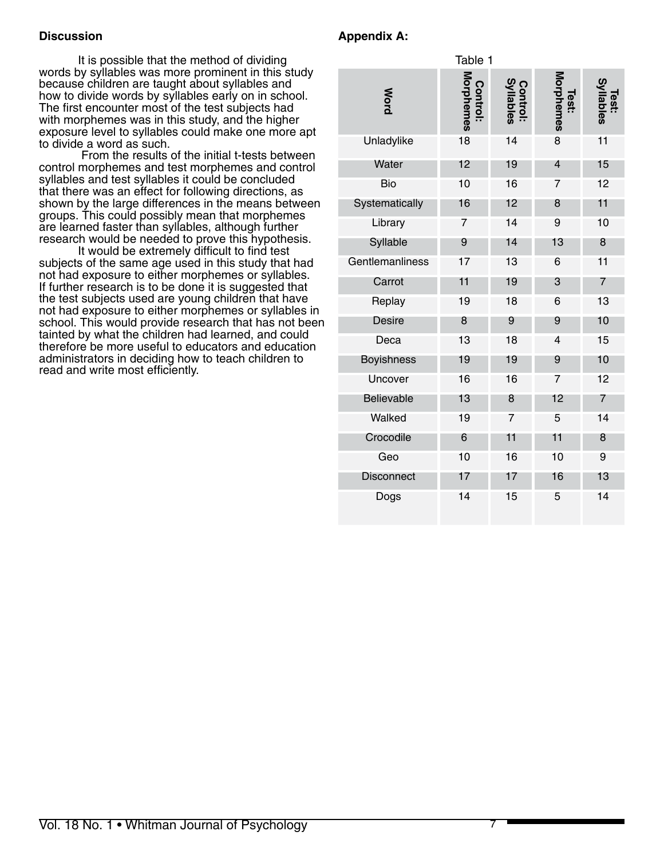# **Discussion**

It is possible that the method of dividing words by syllables was more prominent in this study because children are taught about syllables and how to divide words by syllables early on in school. The first encounter most of the test subjects had with morphemes was in this study, and the higher exposure level to syllables could make one more apt to divide a word as such.

 From the results of the initial t-tests between control morphemes and test morphemes and control syllables and test syllables it could be concluded that there was an effect for following directions, as shown by the large differences in the means between groups. This could possibly mean that morphemes are learned faster than syllables, although further research would be needed to prove this hypothesis.

It would be extremely difficult to find test subjects of the same age used in this study that had not had exposure to either morphemes or syllables. If further research is to be done it is suggested that the test subjects used are young children that have not had exposure to either morphemes or syllables in school. This would provide research that has not been tainted by what the children had learned, and could therefore be more useful to educators and education administrators in deciding how to teach children to read and write most efficiently.

# **Appendix A:**

|                   | Table 1                       |                               |                    |                    |
|-------------------|-------------------------------|-------------------------------|--------------------|--------------------|
| <b>Mord</b>       | <b>Control:<br/>Morphemes</b> | <b>Control:<br/>Syllables</b> | Test:<br>Morphemes | Test:<br>Syllables |
| Unladylike        | 18                            | 14                            | 8                  | 11                 |
| Water             | 12                            | 19                            | $\overline{4}$     | 15                 |
| Bio               | 10                            | 16                            | 7                  | 12                 |
| Systematically    | 16                            | 12                            | 8                  | 11                 |
| Library           | 7                             | 14                            | 9                  | 10                 |
| Syllable          | 9                             | 14                            | 13                 | 8                  |
| Gentlemanliness   | 17                            | 13                            | 6                  | 11                 |
| Carrot            | 11                            | 19                            | 3                  | 7                  |
| Replay            | 19                            | 18                            | 6                  | 13                 |
| <b>Desire</b>     | 8                             | 9                             | 9                  | 10                 |
| Deca              | 13                            | 18                            | 4                  | 15                 |
| <b>Boyishness</b> | 19                            | 19                            | 9                  | 10                 |
| Uncover           | 16                            | 16                            | 7                  | 12                 |
| Believable        | 13                            | 8                             | 12                 | 7                  |
| Walked            | 19                            | 7                             | 5                  | 14                 |
| Crocodile         | 6                             | 11                            | 11                 | 8                  |
| Geo               | 10                            | 16                            | 10                 | 9                  |
| <b>Disconnect</b> | 17                            | 17                            | 16                 | 13                 |
| Dogs              | 14                            | 15                            | 5                  | 14                 |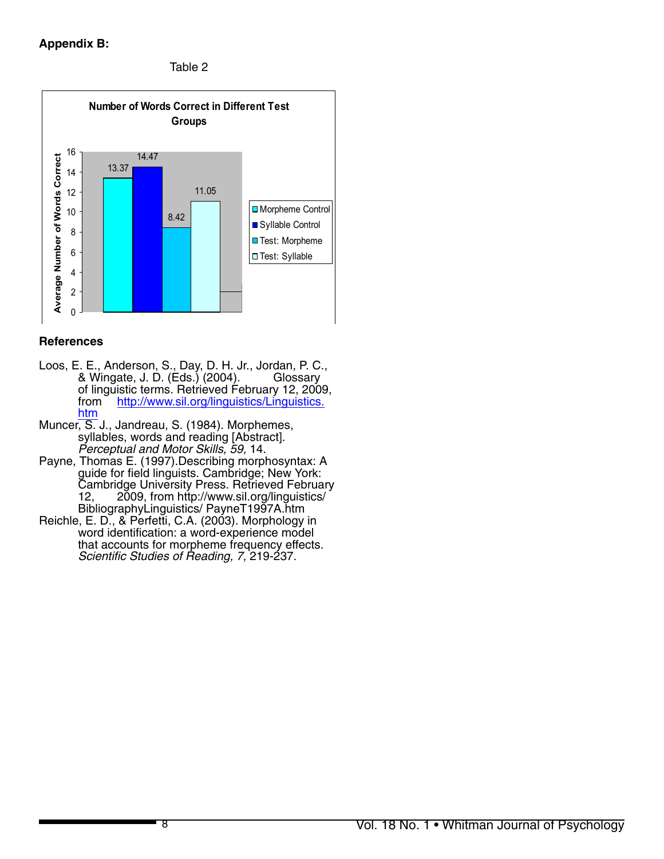# **Appendix B:**

Table 2



### **References**

- Loos, E. E., Anderson, S., Day, D. H. Jr., Jordan, P. C., & Wingate, J. D. (Eds.) (2004). Glossary of linguistic terms. Retrieved February 12, 2009,<br>from http://www.sil.org/linguistics/Linguistics. http://www.sil.org/linguistics/Linguistics. htm
- Muncer, S. J., Jandreau, S. (1984). Morphemes, syllables, words and reading [Abstract]. *Perceptual and Motor Skills, 59,* 14.
- Payne, Thomas E. (1997).Describing morphosyntax: A guide for field linguists. Cambridge; New York: Cambridge University Press. Retrieved February 12, 2009, from http://www.sil.org/linguistics/ BibliographyLinguistics/ PayneT1997A.htm
- Reichle, E. D., & Perfetti, C.A. (2003). Morphology in word identification: a word-experience model that accounts for morpheme frequency effects. *Scientific Studies of Reading, 7,* 219-237.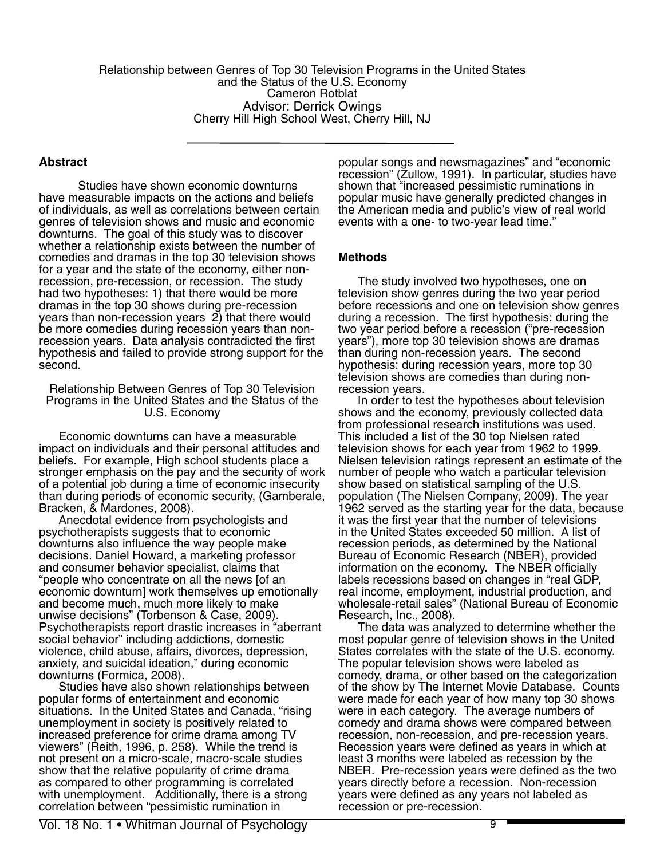Relationship between Genres of Top 30 Television Programs in the United States and the Status of the U.S. Economy Cameron Rotblat Advisor: Derrick Owings Cherry Hill High School West, Cherry Hill, NJ

## **Abstract**

Studies have shown economic downturns have measurable impacts on the actions and beliefs of individuals, as well as correlations between certain genres of television shows and music and economic downturns. The goal of this study was to discover whether a relationship exists between the number of comedies and dramas in the top 30 television shows for a year and the state of the economy, either nonrecession, pre-recession, or recession. The study had two hypotheses: 1) that there would be more dramas in the top 30 shows during pre-recession years than non-recession years 2) that there would be more comedies during recession years than nonrecession years. Data analysis contradicted the first hypothesis and failed to provide strong support for the second.

Relationship Between Genres of Top 30 Television Programs in the United States and the Status of the U.S. Economy

Economic downturns can have a measurable impact on individuals and their personal attitudes and beliefs. For example, High school students place a stronger emphasis on the pay and the security of work of a potential job during a time of economic insecurity than during periods of economic security, (Gamberale, Bracken, & Mardones, 2008).

Anecdotal evidence from psychologists and psychotherapists suggests that to economic downturns also influence the way people make decisions. Daniel Howard, a marketing professor and consumer behavior specialist, claims that "people who concentrate on all the news [of an economic downturn] work themselves up emotionally and become much, much more likely to make unwise decisions" (Torbenson & Case, 2009). Psychotherapists report drastic increases in "aberrant social behavior" including addictions, domestic violence, child abuse, affairs, divorces, depression, anxiety, and suicidal ideation," during economic downturns (Formica, 2008).

Studies have also shown relationships between popular forms of entertainment and economic situations. In the United States and Canada, "rising unemployment in society is positively related to increased preference for crime drama among TV viewers" (Reith, 1996, p. 258). While the trend is not present on a micro-scale, macro-scale studies show that the relative popularity of crime drama as compared to other programming is correlated with unemployment. Additionally, there is a strong correlation between "pessimistic rumination in

popular songs and newsmagazines" and "economic recession" (Zullow, 1991). In particular, studies have shown that "increased pessimistic ruminations in popular music have generally predicted changes in the American media and public's view of real world events with a one- to two-year lead time."

### **Methods**

The study involved two hypotheses, one on television show genres during the two year period before recessions and one on television show genres during a recession. The first hypothesis: during the two year period before a recession ("pre-recession years"), more top 30 television shows are dramas than during non-recession years. The second hypothesis: during recession years, more top 30 television shows are comedies than during nonrecession years.

In order to test the hypotheses about television shows and the economy, previously collected data from professional research institutions was used. This included a list of the 30 top Nielsen rated television shows for each year from 1962 to 1999. Nielsen television ratings represent an estimate of the number of people who watch a particular television show based on statistical sampling of the U.S. population (The Nielsen Company, 2009). The year 1962 served as the starting year for the data, because it was the first year that the number of televisions in the United States exceeded 50 million. A list of recession periods, as determined by the National Bureau of Economic Research (NBER), provided information on the economy. The NBER officially labels recessions based on changes in "real GDP, real income, employment, industrial production, and wholesale-retail sales" (National Bureau of Economic Research, Inc., 2008).

The data was analyzed to determine whether the most popular genre of television shows in the United States correlates with the state of the U.S. economy. The popular television shows were labeled as comedy, drama, or other based on the categorization of the show by The Internet Movie Database. Counts were made for each year of how many top 30 shows were in each category. The average numbers of comedy and drama shows were compared between recession, non-recession, and pre-recession years. Recession years were defined as years in which at least 3 months were labeled as recession by the NBER. Pre-recession years were defined as the two years directly before a recession. Non-recession years were defined as any years not labeled as recession or pre-recession.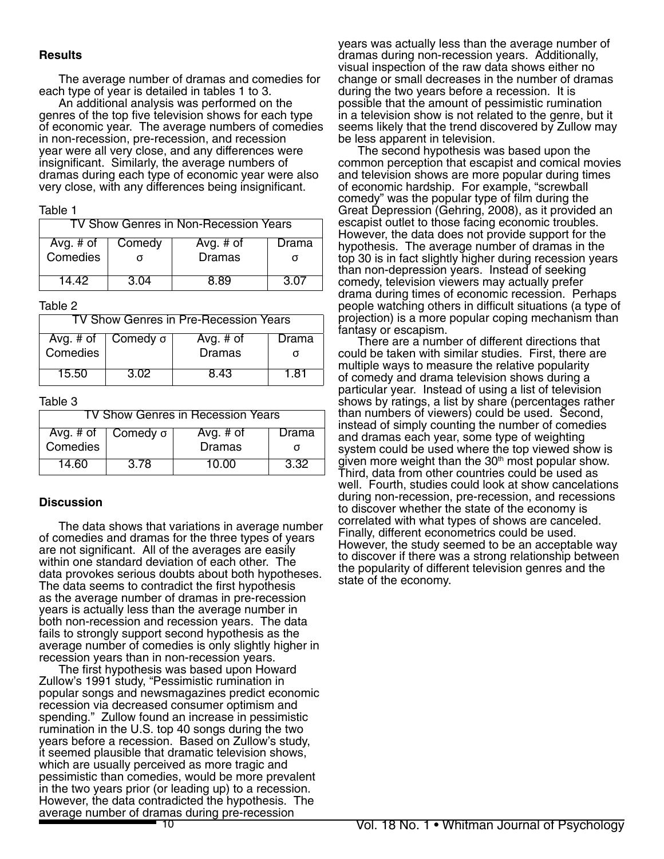#### **Results**

The average number of dramas and comedies for each type of year is detailed in tables 1 to 3.

An additional analysis was performed on the genres of the top five television shows for each type of economic year. The average numbers of comedies in non-recession, pre-recession, and recession year were all very close, and any differences were insignificant. Similarly, the average numbers of dramas during each type of economic year were also very close, with any differences being insignificant.

#### Table 1

| TV Show Genres in Non-Recession Years |        |               |       |  |  |
|---------------------------------------|--------|---------------|-------|--|--|
| Avg. # of                             | Comedy | Avg. $#$ of   | Drama |  |  |
| Comedies                              |        | <b>Dramas</b> |       |  |  |
| 14 42.                                | 3.04   | 8 89          | 3 N Z |  |  |

#### Table 2

| TV Show Genres in Pre-Recession Years |                                  |                     |       |  |  |
|---------------------------------------|----------------------------------|---------------------|-------|--|--|
| Comedies                              | Avg. # of $\int$ Comedy $\sigma$ | Avg. # of<br>Dramas | Drama |  |  |
| 15.50                                 | 3.02                             | 8 43                | 1 81  |  |  |

#### Table 3

| TV Show Genres in Recession Years |      |               |       |  |
|-----------------------------------|------|---------------|-------|--|
| Avg. # of $\int$ Comedy $\sigma$  |      | Avg. # of     | Drama |  |
| Comedies                          |      | <b>Dramas</b> |       |  |
| 14 60                             | 3 78 | 10.00         | 3.32  |  |

### **Discussion**

The data shows that variations in average number of comedies and dramas for the three types of years are not significant. All of the averages are easily within one standard deviation of each other. The data provokes serious doubts about both hypotheses. The data seems to contradict the first hypothesis as the average number of dramas in pre-recession years is actually less than the average number in both non-recession and recession years. The data fails to strongly support second hypothesis as the average number of comedies is only slightly higher in recession years than in non-recession years.

The first hypothesis was based upon Howard Zullow's 1991 study, "Pessimistic rumination in popular songs and newsmagazines predict economic recession via decreased consumer optimism and spending." Zullow found an increase in pessimistic rumination in the U.S. top 40 songs during the two years before a recession. Based on Zullow's study, it seemed plausible that dramatic television shows, which are usually perceived as more tragic and pessimistic than comedies, would be more prevalent in the two years prior (or leading up) to a recession. However, the data contradicted the hypothesis. The average number of dramas during pre-recession

years was actually less than the average number of dramas during non-recession years. Additionally, visual inspection of the raw data shows either no change or small decreases in the number of dramas during the two years before a recession. It is possible that the amount of pessimistic rumination in a television show is not related to the genre, but it seems likely that the trend discovered by Zullow may be less apparent in television.

The second hypothesis was based upon the common perception that escapist and comical movies and television shows are more popular during times of economic hardship. For example, "screwball comedy" was the popular type of film during the Great Depression (Gehring, 2008), as it provided an escapist outlet to those facing economic troubles. However, the data does not provide support for the hypothesis. The average number of dramas in the top 30 is in fact slightly higher during recession years than non-depression years. Instead of seeking comedy, television viewers may actually prefer drama during times of economic recession. Perhaps people watching others in difficult situations (a type of projection) is a more popular coping mechanism than fantasy or escapism.

There are a number of different directions that could be taken with similar studies. First, there are multiple ways to measure the relative popularity of comedy and drama television shows during a particular year. Instead of using a list of television shows by ratings, a list by share (percentages rather than numbers of viewers) could be used. Second, instead of simply counting the number of comedies and dramas each year, some type of weighting system could be used where the top viewed show is given more weight than the  $30<sup>th</sup>$  most popular show. Third, data from other countries could be used as well. Fourth, studies could look at show cancelations during non-recession, pre-recession, and recessions to discover whether the state of the economy is correlated with what types of shows are canceled. Finally, different econometrics could be used. However, the study seemed to be an acceptable way to discover if there was a strong relationship between the popularity of different television genres and the state of the economy.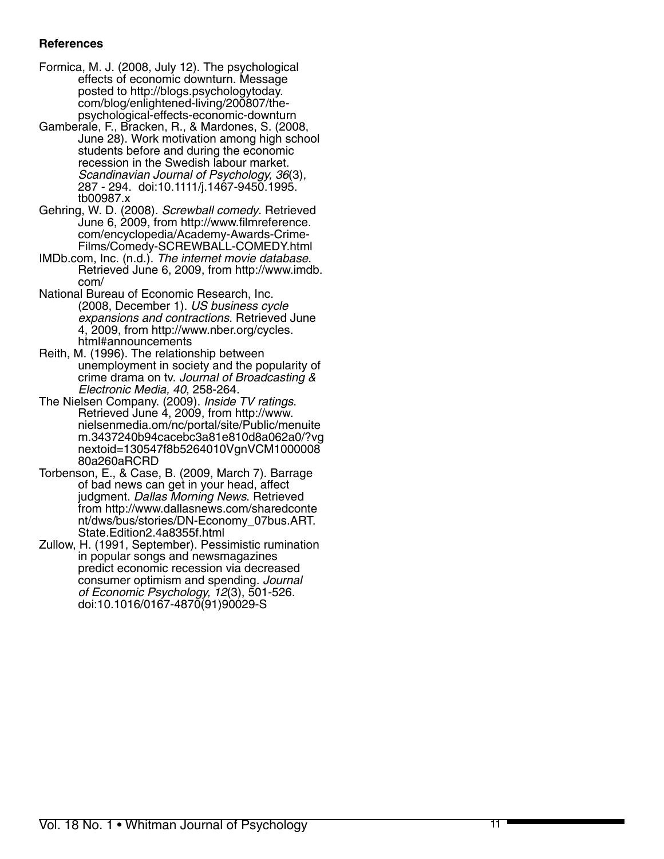# **References**

- Formica, M. J. (2008, July 12). The psychological effects of economic downturn. Message posted to http://blogs.psychologytoday. com/blog/enlightened-living/200807/thepsychological-effects-economic-downturn
- Gamberale, F., Bracken, R., & Mardones, S. (2008, June 28). Work motivation among high school students before and during the economic recession in the Swedish labour market. *Scandinavian Journal of Psychology, 36*(3), 287 - 294. doi:10.1111/j.1467-9450.1995. tb00987.x
- Gehring, W. D. (2008). *Screwball comedy*. Retrieved June 6, 2009, from http://www.filmreference. com/encyclopedia/Academy-Awards-Crime-Films/Comedy-SCREWBALL-COMEDY.html
- IMDb.com, Inc. (n.d.). *The internet movie database*. Retrieved June 6, 2009, from http://www.imdb. com/
- National Bureau of Economic Research, Inc. (2008, December 1). *US business cycle expansions and contractions*. Retrieved June 4, 2009, from http://www.nber.org/cycles. html#announcements
- Reith, M. (1996). The relationship between unemployment in society and the popularity of crime drama on tv. *Journal of Broadcasting & Electronic Media, 40*, 258-264.
- The Nielsen Company. (2009). *Inside TV ratings*. Retrieved June 4, 2009, from http://www. nielsenmedia.om/nc/portal/site/Public/menuite m.3437240b94cacebc3a81e810d8a062a0/?vg nextoid=130547f8b5264010VgnVCM1000008 80a260aRCRD
- Torbenson, E., & Case, B. (2009, March 7). Barrage of bad news can get in your head, affect judgment. *Dallas Morning News*. Retrieved from http://www.dallasnews.com/sharedconte nt/dws/bus/stories/DN-Economy\_07bus.ART. State.Edition2.4a8355f.html
- Zullow, H. (1991, September). Pessimistic rumination in popular songs and newsmagazines predict economic recession via decreased consumer optimism and spending. *Journal of Economic Psychology, 12*(3), 501-526. doi:10.1016/0167-4870(91)90029-S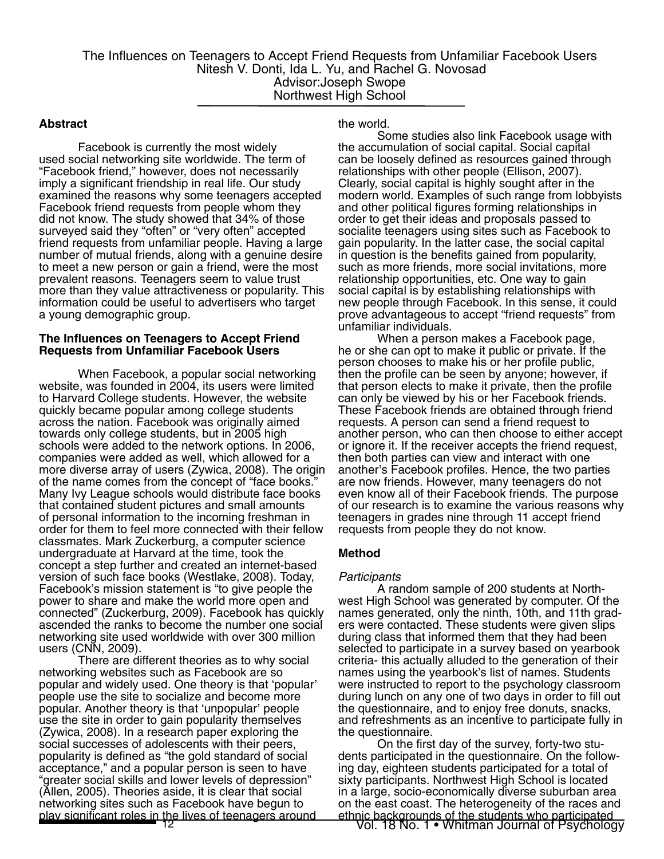#### **Abstract**

Facebook is currently the most widely used social networking site worldwide. The term of "Facebook friend," however, does not necessarily imply a significant friendship in real life. Our study examined the reasons why some teenagers accepted Facebook friend requests from people whom they did not know. The study showed that 34% of those surveyed said they "often" or "very often" accepted friend requests from unfamiliar people. Having a large number of mutual friends, along with a genuine desire to meet a new person or gain a friend, were the most prevalent reasons. Teenagers seem to value trust more than they value attractiveness or popularity. This information could be useful to advertisers who target a young demographic group.

#### **The Influences on Teenagers to Accept Friend Requests from Unfamiliar Facebook Users**

When Facebook, a popular social networking website, was founded in 2004, its users were limited to Harvard College students. However, the website quickly became popular among college students across the nation. Facebook was originally aimed towards only college students, but in 2005 high schools were added to the network options. In 2006, companies were added as well, which allowed for a more diverse array of users (Zywica, 2008). The origin of the name comes from the concept of "face books." Many Ivy League schools would distribute face books that contained student pictures and small amounts of personal information to the incoming freshman in order for them to feel more connected with their fellow classmates. Mark Zuckerburg, a computer science undergraduate at Harvard at the time, took the concept a step further and created an internet-based version of such face books (Westlake, 2008). Today, Facebook's mission statement is "to give people the power to share and make the world more open and connected" (Zuckerburg, 2009). Facebook has quickly ascended the ranks to become the number one social networking site used worldwide with over 300 million users (CNN, 2009).

There are different theories as to why social networking websites such as Facebook are so popular and widely used. One theory is that 'popular' people use the site to socialize and become more popular. Another theory is that 'unpopular' people use the site in order to gain popularity themselves (Zywica, 2008). In a research paper exploring the social successes of adolescents with their peers, popularity is defined as "the gold standard of social acceptance," and a popular person is seen to have "greater social skills and lower levels of depression" (Allen, 2005). Theories aside, it is clear that social networking sites such as Facebook have begun to play significant roles in the lives of teenagers around

the world.

Some studies also link Facebook usage with the accumulation of social capital. Social capital can be loosely defined as resources gained through relationships with other people (Ellison, 2007). Clearly, social capital is highly sought after in the modern world. Examples of such range from lobbyists and other political figures forming relationships in order to get their ideas and proposals passed to socialite teenagers using sites such as Facebook to gain popularity. In the latter case, the social capital in question is the benefits gained from popularity, such as more friends, more social invitations, more relationship opportunities, etc. One way to gain social capital is by establishing relationships with new people through Facebook. In this sense, it could prove advantageous to accept "friend requests" from unfamiliar individuals.

When a person makes a Facebook page, he or she can opt to make it public or private. If the person chooses to make his or her profile public, then the profile can be seen by anyone; however, if that person elects to make it private, then the profile can only be viewed by his or her Facebook friends. These Facebook friends are obtained through friend requests. A person can send a friend request to another person, who can then choose to either accept or ignore it. If the receiver accepts the friend request, then both parties can view and interact with one another's Facebook profiles. Hence, the two parties are now friends. However, many teenagers do not even know all of their Facebook friends. The purpose of our research is to examine the various reasons why teenagers in grades nine through 11 accept friend requests from people they do not know.

### **Method**

#### *Participants*

A random sample of 200 students at Northwest High School was generated by computer. Of the names generated, only the ninth, 10th, and 11th graders were contacted. These students were given slips during class that informed them that they had been selected to participate in a survey based on yearbook criteria- this actually alluded to the generation of their names using the yearbook's list of names. Students were instructed to report to the psychology classroom during lunch on any one of two days in order to fill out the questionnaire, and to enjoy free donuts, snacks, and refreshments as an incentive to participate fully in the questionnaire.

12 Vol. 18 No. 1 • Whitman Journal of Psychology ethnic backgrounds of the students who participated On the first day of the survey, forty-two students participated in the questionnaire. On the follow- ing day, eighteen students participated for a total of sixty participants. Northwest High School is located in a large, socio-economically diverse suburban area on the east coast. The heterogeneity of the races and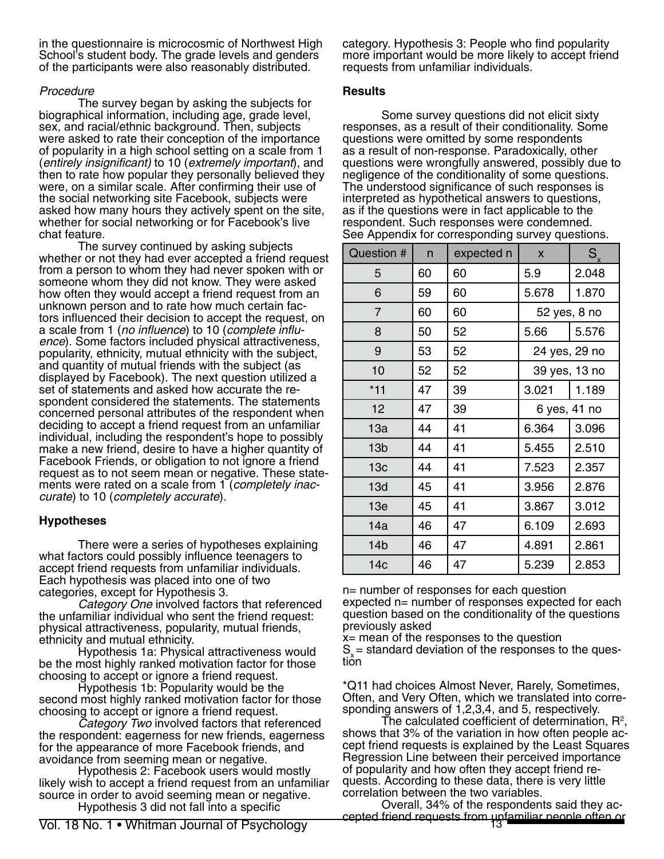in the questionnaire is microcosmic of Northwest High School's student body. The grade levels and genders of the participants were also reasonably distributed.

## *Procedure*

The survey began by asking the subjects for biographical information, including age, grade level, sex, and racial/ethnic background. Then, subjects were asked to rate their conception of the importance of popularity in a high school setting on a scale from 1 (*entirely insignificant)* to 10 (*extremely important*), and then to rate how popular they personally believed they were, on a similar scale. After confirming their use of the social networking site Facebook, subjects were asked how many hours they actively spent on the site, whether for social networking or for Facebook's live chat feature.

The survey continued by asking subjects whether or not they had ever accepted a friend request from a person to whom they had never spoken with or someone whom they did not know. They were asked how often they would accept a friend request from an unknown person and to rate how much certain factors influenced their decision to accept the request, on a scale from 1 (*no influence*) to 10 (*complete influence*). Some factors included physical attractiveness, popularity, ethnicity, mutual ethnicity with the subject, and quantity of mutual friends with the subject (as displayed by Facebook). The next question utilized a set of statements and asked how accurate the respondent considered the statements. The statements concerned personal attributes of the respondent when deciding to accept a friend request from an unfamiliar individual, including the respondent's hope to possibly make a new friend, desire to have a higher quantity of Facebook Friends, or obligation to not ignore a friend request as to not seem mean or negative. These statements were rated on a scale from 1 (*completely inaccurate*) to 10 (*completely accurate*).

# **Hypotheses**

There were a series of hypotheses explaining what factors could possibly influence teenagers to accept friend requests from unfamiliar individuals. Each hypothesis was placed into one of two categories, except for Hypothesis 3.

*Category One* involved factors that referenced the unfamiliar individual who sent the friend request: physical attractiveness, popularity, mutual friends, ethnicity and mutual ethnicity.

Hypothesis 1a: Physical attractiveness would be the most highly ranked motivation factor for those choosing to accept or ignore a friend request.

Hypothesis 1b: Popularity would be the second most highly ranked motivation factor for those choosing to accept or ignore a friend request.

*Category Two* involved factors that referenced the respondent: eagerness for new friends, eagerness for the appearance of more Facebook friends, and avoidance from seeming mean or negative.

Hypothesis 2: Facebook users would mostly likely wish to accept a friend request from an unfamiliar source in order to avoid seeming mean or negative. Hypothesis 3 did not fall into a specific

category. Hypothesis 3: People who find popularity more important would be more likely to accept friend requests from unfamiliar individuals.

# **Results**

Some survey questions did not elicit sixty responses, as a result of their conditionality. Some questions were omitted by some respondents as a result of non-response. Paradoxically, other questions were wrongfully answered, possibly due to negligence of the conditionality of some questions. The understood significance of such responses is interpreted as hypothetical answers to questions, as if the questions were in fact applicable to the respondent. Such responses were condemned. See Appendix for corresponding survey questions.

| Question #      | n  | expected n | $\mathsf{x}$  | $S_{x}$      |
|-----------------|----|------------|---------------|--------------|
| 5               | 60 | 60         | 5.9           | 2.048        |
| 6               | 59 | 60         | 5.678         | 1.870        |
| 7               | 60 | 60         |               | 52 yes, 8 no |
| 8               | 50 | 52         | 5.66          | 5.576        |
| 9               | 53 | 52         | 24 yes, 29 no |              |
| 10              | 52 | 52         | 39 yes, 13 no |              |
| $*11$           | 47 | 39         | 3.021         | 1.189        |
| 12              | 47 | 39         | 6 yes, 41 no  |              |
| 13a             | 44 | 41         | 6.364         | 3.096        |
| 13 <sub>b</sub> | 44 | 41         | 5.455         | 2.510        |
| 13 <sub>c</sub> | 44 | 41         | 7.523         | 2.357        |
| 13d             | 45 | 41         | 3.956         | 2.876        |
| 13e             | 45 | 41         | 3.867         | 3.012        |
| 14a             | 46 | 47         | 6.109         | 2.693        |
| 14 <sub>b</sub> | 46 | 47         | 4.891         | 2.861        |
| 14 <sub>c</sub> | 46 | 47         | 5.239         | 2.853        |

n= number of responses for each question expected n= number of responses expected for each question based on the conditionality of the questions previously asked

x= mean of the responses to the question

 $S_{\rm x}$  = standard deviation of the responses to the ques-<br>tion

\*Q11 had choices Almost Never, Rarely, Sometimes, Often, and Very Often, which we translated into corresponding answers of 1,2,3,4, and 5, respectively.

The calculated coefficient of determination,  $\mathsf{R}^2$ , shows that 3% of the variation in how often people accept friend requests is explained by the Least Squares Regression Line between their perceived importance of popularity and how often they accept friend requests. According to these data, there is very little correlation between the two variables.

Overall, 34% of the respondents said they ac- cepted friend requests from unfamiliar people often or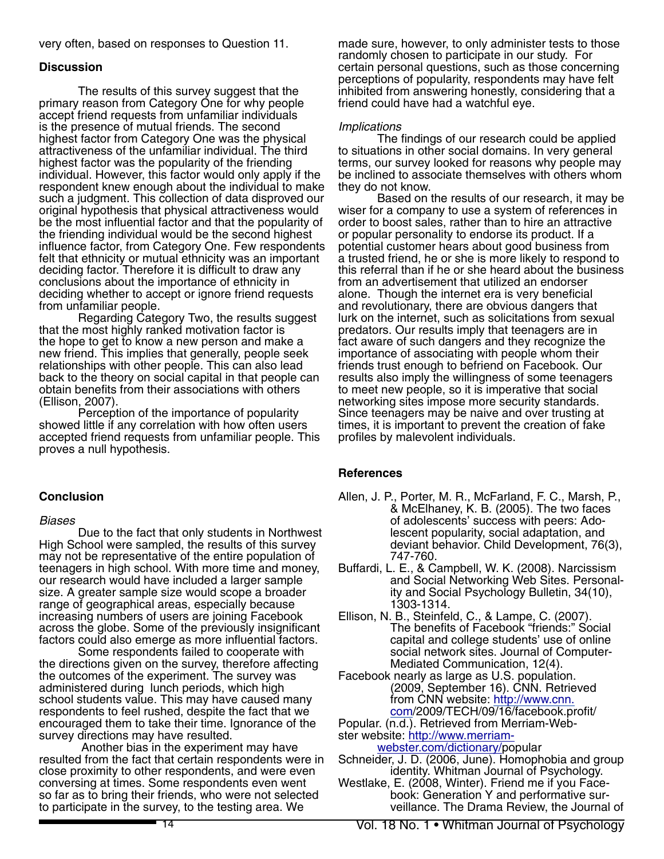very often, based on responses to Question 11.

#### **Discussion**

The results of this survey suggest that the primary reason from Category One for why people accept friend requests from unfamiliar individuals is the presence of mutual friends. The second highest factor from Category One was the physical attractiveness of the unfamiliar individual. The third highest factor was the popularity of the friending individual. However, this factor would only apply if the respondent knew enough about the individual to make such a judgment. This collection of data disproved our original hypothesis that physical attractiveness would be the most influential factor and that the popularity of the friending individual would be the second highest influence factor, from Category One. Few respondents felt that ethnicity or mutual ethnicity was an important deciding factor. Therefore it is difficult to draw any conclusions about the importance of ethnicity in deciding whether to accept or ignore friend requests from unfamiliar people.

Regarding Category Two, the results suggest that the most highly ranked motivation factor is the hope to get to know a new person and make a new friend. This implies that generally, people seek relationships with other people. This can also lead back to the theory on social capital in that people can obtain benefits from their associations with others (Ellison, 2007).

Perception of the importance of popularity showed little if any correlation with how often users accepted friend requests from unfamiliar people. This proves a null hypothesis.

### **Conclusion**

#### *Biases*

Due to the fact that only students in Northwest High School were sampled, the results of this survey may not be representative of the entire population of teenagers in high school. With more time and money, our research would have included a larger sample size. A greater sample size would scope a broader range of geographical areas, especially because increasing numbers of users are joining Facebook across the globe. Some of the previously insignificant factors could also emerge as more influential factors.

Some respondents failed to cooperate with the directions given on the survey, therefore affecting the outcomes of the experiment. The survey was administered during lunch periods, which high school students value. This may have caused many respondents to feel rushed, despite the fact that we encouraged them to take their time. Ignorance of the survey directions may have resulted.

 Another bias in the experiment may have resulted from the fact that certain respondents were in close proximity to other respondents, and were even conversing at times. Some respondents even went so far as to bring their friends, who were not selected to participate in the survey, to the testing area. We

made sure, however, to only administer tests to those randomly chosen to participate in our study. For certain personal questions, such as those concerning perceptions of popularity, respondents may have felt inhibited from answering honestly, considering that a friend could have had a watchful eye.

### *Implications*

The findings of our research could be applied to situations in other social domains. In very general terms, our survey looked for reasons why people may be inclined to associate themselves with others whom they do not know.

Based on the results of our research, it may be wiser for a company to use a system of references in order to boost sales, rather than to hire an attractive or popular personality to endorse its product. If a potential customer hears about good business from a trusted friend, he or she is more likely to respond to this referral than if he or she heard about the business from an advertisement that utilized an endorser alone. Though the internet era is very beneficial and revolutionary, there are obvious dangers that lurk on the internet, such as solicitations from sexual predators. Our results imply that teenagers are in fact aware of such dangers and they recognize the importance of associating with people whom their friends trust enough to befriend on Facebook. Our results also imply the willingness of some teenagers to meet new people, so it is imperative that social networking sites impose more security standards. Since teenagers may be naive and over trusting at times, it is important to prevent the creation of fake profiles by malevolent individuals.

### **References**

- Allen, J. P., Porter, M. R., McFarland, F. C., Marsh, P., & McElhaney, K. B. (2005). The two faces of adolescents' success with peers: Adolescent popularity, social adaptation, and deviant behavior. Child Development, 76(3), 747-760.
- Buffardi, L. E., & Campbell, W. K. (2008). Narcissism and Social Networking Web Sites. Personality and Social Psychology Bulletin, 34(10), 1303-1314.
- Ellison, N. B., Steinfeld, C., & Lampe, C. (2007). The benefits of Facebook "friends:" Social capital and college students' use of online social network sites. Journal of Computer-Mediated Communication, 12(4).
- Facebook nearly as large as U.S. population. (2009, September 16). CNN. Retrieved from CNN website: http://www.cnn. com/2009/TECH/09/16/facebook.profit/
- Popular. (n.d.). Retrieved from Merriam-Webster website: http://www.merriam-

webster.com/dictionary/popular

- Schneider, J. D. (2006, June). Homophobia and group identity. Whitman Journal of Psychology.
- Westlake, E. (2008, Winter). Friend me if you Face- book: Generation Y and performative sur- veillance. The Drama Review, the Journal of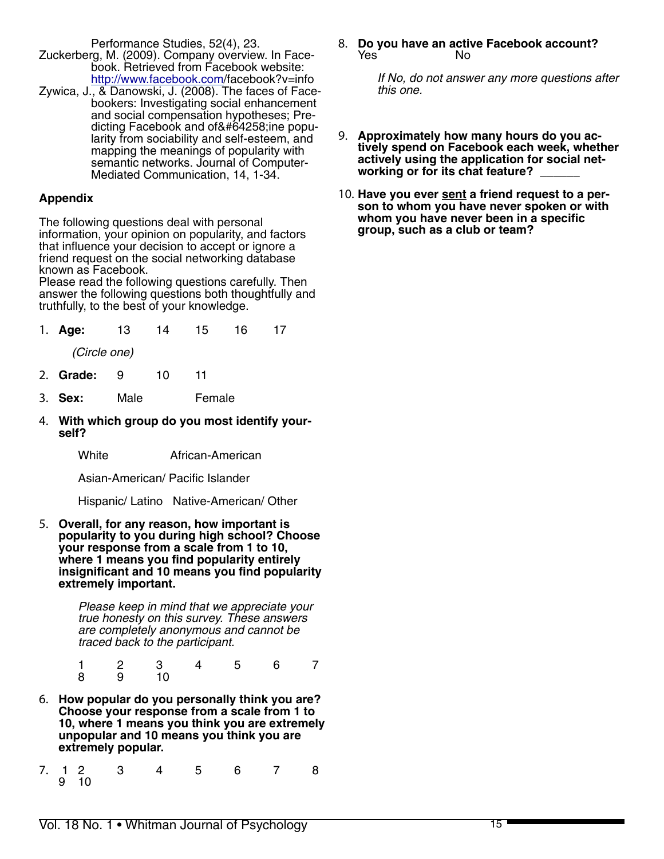Performance Studies, 52(4), 23.

- Zuckerberg, M. (2009). Company overview. In Facebook. Retrieved from Facebook website: http://www.facebook.com/facebook?v=info
- Zywica, J., & Danowski, J. (2008). The faces of Facebookers: Investigating social enhancement and social compensation hypotheses; Predicting Facebook and offline popularity from sociability and self-esteem, and mapping the meanings of popularity with semantic networks. Journal of Computer-Mediated Communication, 14, 1-34.

## **Appendix**

The following questions deal with personal information, your opinion on popularity, and factors that influence your decision to accept or ignore a friend request on the social networking database known as Facebook.

Please read the following questions carefully. Then answer the following questions both thoughtfully and truthfully, to the best of your knowledge.

|  | 1. Age: 13 14 15 16 17 |  |  |  |  |  |
|--|------------------------|--|--|--|--|--|
|--|------------------------|--|--|--|--|--|

 *(Circle one)*

- 2. **Grade:** 9 10 11
- 3. **Sex:** Male Female
- 4. **With which group do you most identify yourself?**

White **African-American** 

Asian-American/ Pacific Islander

Hispanic/ Latino Native-American/ Other

5. **Overall, for any reason, how important is popularity to you during high school? Choose your response from a scale from 1 to 10, where 1 means you find popularity entirely insignificant and 10 means you find popularity extremely important.** 

> *Please keep in mind that we appreciate your true honesty on this survey. These answers are completely anonymous and cannot be traced back to the participant.*

- 1 2 3 4 5 6 7 8 9 10
- 6. **How popular do you personally think you are? Choose your response from a scale from 1 to 10, where 1 means you think you are extremely unpopular and 10 means you think you are extremely popular.**
- 7. 1 2 3 4 5 6 7 8 9 10

8. **Do you have an active Facebook account?**  Yes **No** 

> *If No, do not answer any more questions after this one.*

- 9. **Approximately how many hours do you actively spend on Facebook each week, whether actively using the application for social networking or for its chat feature?** \_\_\_\_\_\_
- 10. **Have you ever sent a friend request to a person to whom you have never spoken or with whom you have never been in a specific group, such as a club or team?**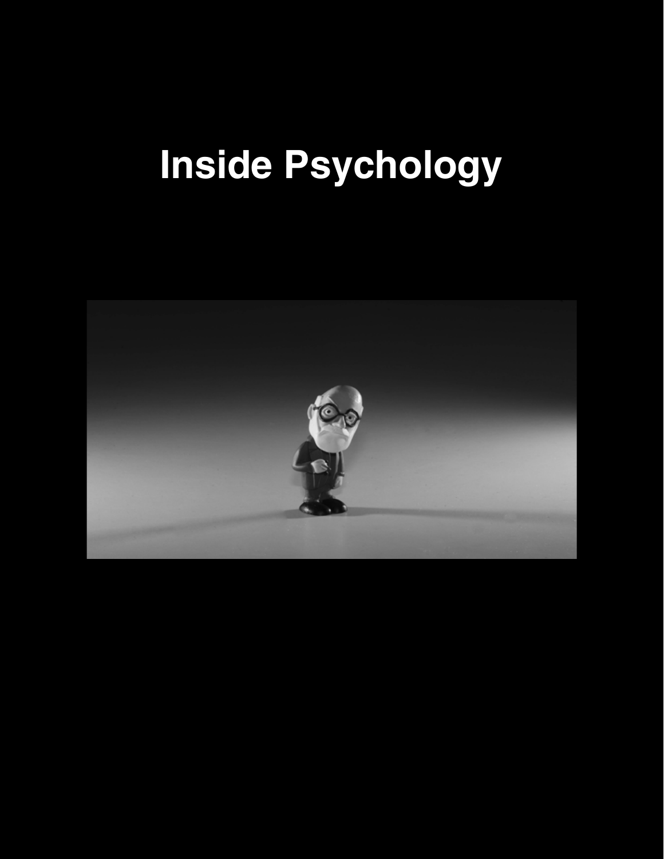#### completed a survey that evaluated their altruism, sympathy, and just world bias. In line with social social social social social social social social social social social social social social social social social social social social social social social social social soc responsibility norm, the participants were more hold positive attitudes towards ingroup members and are often more willing to help them because it gives them a feeling of assurance that they are a part of the **Inside Psychology**

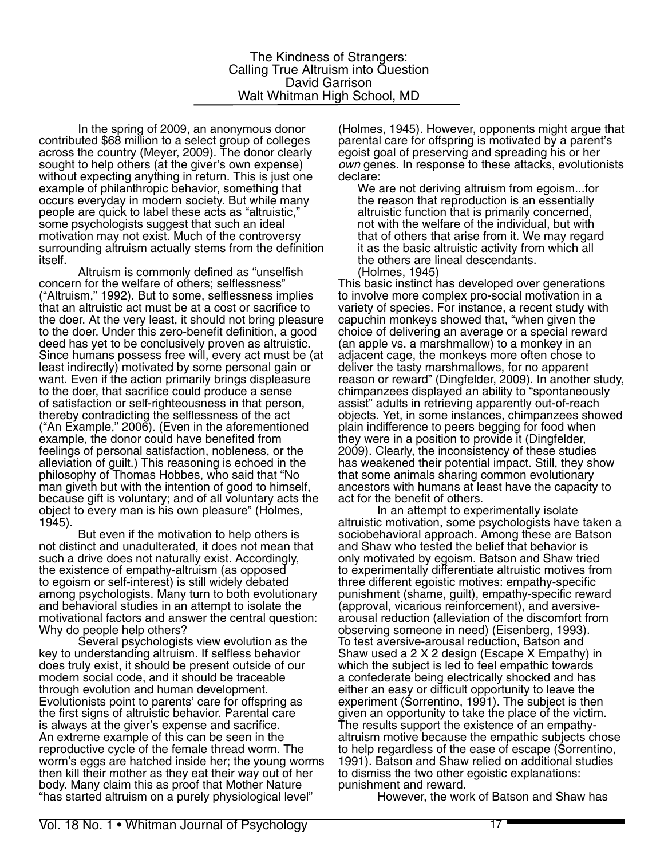In the spring of 2009, an anonymous donor contributed \$68 million to a select group of colleges across the country (Meyer, 2009). The donor clearly sought to help others (at the giver's own expense) without expecting anything in return. This is just one example of philanthropic behavior, something that occurs everyday in modern society. But while many people are quick to label these acts as "altruistic," some psychologists suggest that such an ideal motivation may not exist. Much of the controversy surrounding altruism actually stems from the definition itself.

Altruism is commonly defined as "unselfish concern for the welfare of others; selflessness" ("Altruism," 1992). But to some, selflessness implies that an altruistic act must be at a cost or sacrifice to the doer. At the very least, it should not bring pleasure to the doer. Under this zero-benefit definition, a good deed has yet to be conclusively proven as altruistic. Since humans possess free will, every act must be (at least indirectly) motivated by some personal gain or want. Even if the action primarily brings displeasure to the doer, that sacrifice could produce a sense of satisfaction or self-righteousness in that person, thereby contradicting the selflessness of the act ("An Example," 2006). (Even in the aforementioned example, the donor could have benefited from feelings of personal satisfaction, nobleness, or the alleviation of guilt.) This reasoning is echoed in the philosophy of Thomas Hobbes, who said that "No man giveth but with the intention of good to himself, because gift is voluntary; and of all voluntary acts the object to every man is his own pleasure" (Holmes, 1945).

But even if the motivation to help others is not distinct and unadulterated, it does not mean that such a drive does not naturally exist. Accordingly, the existence of empathy-altruism (as opposed to egoism or self-interest) is still widely debated among psychologists. Many turn to both evolutionary and behavioral studies in an attempt to isolate the motivational factors and answer the central question: Why do people help others?

Several psychologists view evolution as the key to understanding altruism. If selfless behavior does truly exist, it should be present outside of our modern social code, and it should be traceable through evolution and human development. Evolutionists point to parents' care for offspring as the first signs of altruistic behavior. Parental care is always at the giver's expense and sacrifice. An extreme example of this can be seen in the reproductive cycle of the female thread worm. The worm's eggs are hatched inside her; the young worms then kill their mother as they eat their way out of her body. Many claim this as proof that Mother Nature "has started altruism on a purely physiological level"

(Holmes, 1945). However, opponents might argue that parental care for offspring is motivated by a parent's egoist goal of preserving and spreading his or her *own* genes. In response to these attacks, evolutionists declare:

We are not deriving altruism from egoism...for the reason that reproduction is an essentially altruistic function that is primarily concerned, not with the welfare of the individual, but with that of others that arise from it. We may regard it as the basic altruistic activity from which all the others are lineal descendants. (Holmes, 1945)

This basic instinct has developed over generations to involve more complex pro-social motivation in a variety of species. For instance, a recent study with capuchin monkeys showed that, "when given the choice of delivering an average or a special reward (an apple vs. a marshmallow) to a monkey in an adjacent cage, the monkeys more often chose to deliver the tasty marshmallows, for no apparent reason or reward" (Dingfelder, 2009). In another study, chimpanzees displayed an ability to "spontaneously assist" adults in retrieving apparently out-of-reach objects. Yet, in some instances, chimpanzees showed plain indifference to peers begging for food when they were in a position to provide it (Dingfelder, 2009). Clearly, the inconsistency of these studies has weakened their potential impact. Still, they show that some animals sharing common evolutionary ancestors with humans at least have the capacity to act for the benefit of others.

In an attempt to experimentally isolate altruistic motivation, some psychologists have taken a sociobehavioral approach. Among these are Batson and Shaw who tested the belief that behavior is only motivated by egoism. Batson and Shaw tried to experimentally differentiate altruistic motives from three different egoistic motives: empathy-specific punishment (shame, guilt), empathy-specific reward (approval, vicarious reinforcement), and aversivearousal reduction (alleviation of the discomfort from observing someone in need) (Eisenberg, 1993). To test aversive-arousal reduction, Batson and Shaw used a 2 X 2 design (Escape X Empathy) in which the subject is led to feel empathic towards a confederate being electrically shocked and has either an easy or difficult opportunity to leave the experiment (Sorrentino, 1991). The subject is then given an opportunity to take the place of the victim. The results support the existence of an empathyaltruism motive because the empathic subjects chose to help regardless of the ease of escape (Sorrentino, 1991). Batson and Shaw relied on additional studies to dismiss the two other egoistic explanations: punishment and reward.

However, the work of Batson and Shaw has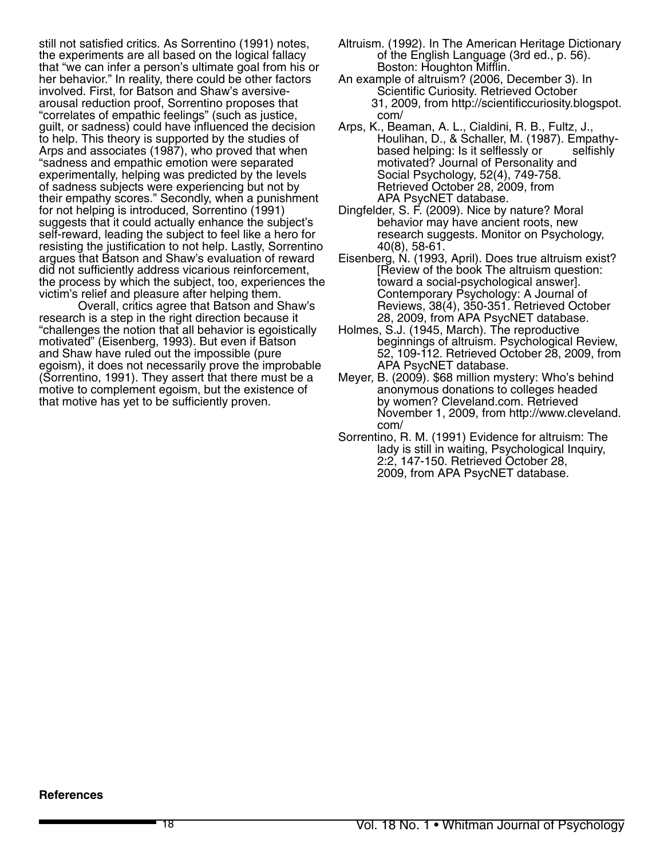still not satisfied critics. As Sorrentino (1991) notes, the experiments are all based on the logical fallacy that "we can infer a person's ultimate goal from his or her behavior." In reality, there could be other factors involved. First, for Batson and Shaw's aversivearousal reduction proof, Sorrentino proposes that "correlates of empathic feelings" (such as justice, guilt, or sadness) could have influenced the decision to help. This theory is supported by the studies of Arps and associates (1987), who proved that when "sadness and empathic emotion were separated experimentally, helping was predicted by the levels of sadness subjects were experiencing but not by their empathy scores." Secondly, when a punishment for not helping is introduced, Sorrentino (1991) suggests that it could actually enhance the subject's self-reward, leading the subject to feel like a hero for resisting the justification to not help. Lastly, Sorrentino argues that Batson and Shaw's evaluation of reward did not sufficiently address vicarious reinforcement, the process by which the subject, too, experiences the victim's relief and pleasure after helping them.

Overall, critics agree that Batson and Shaw's research is a step in the right direction because it "challenges the notion that all behavior is egoistically motivated" (Eisenberg, 1993). But even if Batson and Shaw have ruled out the impossible (pure egoism), it does not necessarily prove the improbable (Sorrentino, 1991). They assert that there must be a motive to complement egoism, but the existence of that motive has yet to be sufficiently proven.

- Altruism. (1992). In The American Heritage Dictionary of the English Language (3rd ed., p. 56). Boston: Houghton Mifflin.
- An example of altruism? (2006, December 3). In Scientific Curiosity. Retrieved October 31, 2009, from http://scientificcuriosity.blogspot. com/
- Arps, K., Beaman, A. L., Cialdini, R. B., Fultz, J., Houlihan, D., & Schaller, M. (1987). Empathybased helping: Is it selflessly or selfishly motivated? Journal of Personality and Social Psychology, 52(4), 749-758. Retrieved October 28, 2009, from APA PsycNET database.
- Dingfelder, S. F. (2009). Nice by nature? Moral behavior may have ancient roots, new research suggests. Monitor on Psychology, 40(8), 58-61.
- Eisenberg, N. (1993, April). Does true altruism exist? [Review of the book The altruism question: toward a social-psychological answer]. Contemporary Psychology: A Journal of Reviews, 38(4), 350-351. Retrieved October 28, 2009, from APA PsycNET database.
- Holmes, S.J. (1945, March). The reproductive beginnings of altruism. Psychological Review, 52, 109-112. Retrieved October 28, 2009, from APA PsycNET database.
- Meyer, B. (2009). \$68 million mystery: Who's behind anonymous donations to colleges headed by women? Cleveland.com. Retrieved November 1, 2009, from http://www.cleveland. com/
- Sorrentino, R. M. (1991) Evidence for altruism: The lady is still in waiting, Psychological Inquiry, 2:2, 147-150. Retrieved October 28, 2009, from APA PsycNET database.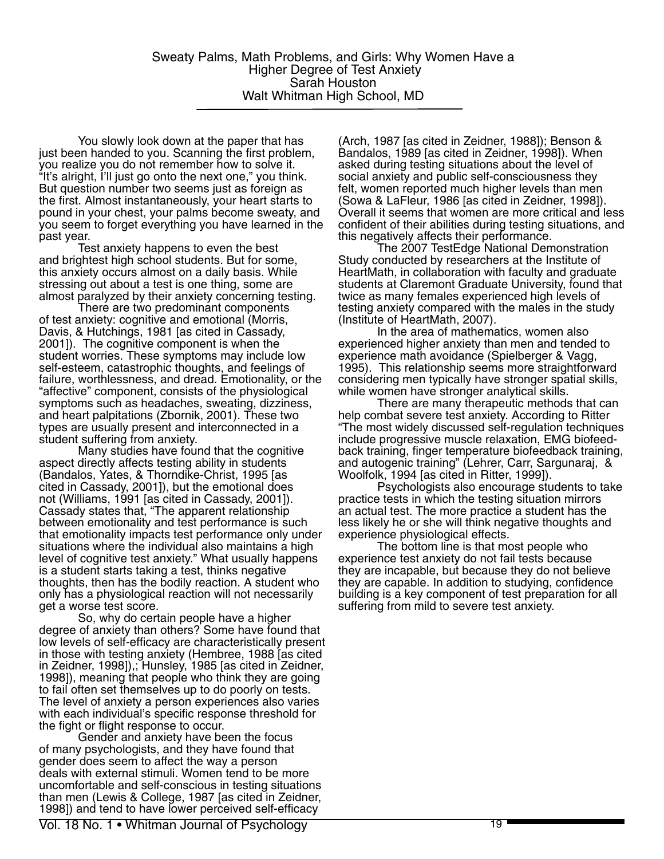You slowly look down at the paper that has just been handed to you. Scanning the first problem, you realize you do not remember how to solve it. "It's alright, I'll just go onto the next one," you think. But question number two seems just as foreign as the first. Almost instantaneously, your heart starts to pound in your chest, your palms become sweaty, and you seem to forget everything you have learned in the past year.

Test anxiety happens to even the best and brightest high school students. But for some, this anxiety occurs almost on a daily basis. While stressing out about a test is one thing, some are almost paralyzed by their anxiety concerning testing.

There are two predominant components of test anxiety: cognitive and emotional (Morris, Davis, & Hutchings, 1981 [as cited in Cassady, 2001]). The cognitive component is when the student worries. These symptoms may include low self-esteem, catastrophic thoughts, and feelings of failure, worthlessness, and dread. Emotionality, or the "affective" component, consists of the physiological symptoms such as headaches, sweating, dizziness, and heart palpitations (Zbornik, 2001). These two types are usually present and interconnected in a student suffering from anxiety.

Many studies have found that the cognitive aspect directly affects testing ability in students (Bandalos, Yates, & Thorndike-Christ, 1995 [as cited in Cassady, 2001]), but the emotional does not (Williams, 1991 [as cited in Cassady, 2001]). Cassady states that, "The apparent relationship between emotionality and test performance is such that emotionality impacts test performance only under situations where the individual also maintains a high level of cognitive test anxiety." What usually happens is a student starts taking a test, thinks negative thoughts, then has the bodily reaction. A student who only has a physiological reaction will not necessarily get a worse test score.

So, why do certain people have a higher degree of anxiety than others? Some have found that low levels of self-efficacy are characteristically present in those with testing anxiety (Hembree, 1988 [as cited in Zeidner, 1998]),; Hunsley, 1985 [as cited in Zeidner, 1998]), meaning that people who think they are going to fail often set themselves up to do poorly on tests. The level of anxiety a person experiences also varies with each individual's specific response threshold for the fight or flight response to occur.

Gender and anxiety have been the focus of many psychologists, and they have found that gender does seem to affect the way a person deals with external stimuli. Women tend to be more uncomfortable and self-conscious in testing situations than men (Lewis & College, 1987 [as cited in Zeidner, 1998]) and tend to have lower perceived self-efficacy

(Arch, 1987 [as cited in Zeidner, 1988]); Benson & Bandalos, 1989 [as cited in Zeidner, 1998]). When asked during testing situations about the level of social anxiety and public self-consciousness they felt, women reported much higher levels than men (Sowa & LaFleur, 1986 [as cited in Zeidner, 1998]). Overall it seems that women are more critical and less confident of their abilities during testing situations, and this negatively affects their performance.

The 2007 TestEdge National Demonstration Study conducted by researchers at the Institute of HeartMath, in collaboration with faculty and graduate students at Claremont Graduate University, found that twice as many females experienced high levels of testing anxiety compared with the males in the study (Institute of HeartMath, 2007).

In the area of mathematics, women also experienced higher anxiety than men and tended to experience math avoidance (Spielberger & Vagg, 1995). This relationship seems more straightforward considering men typically have stronger spatial skills, while women have stronger analytical skills.

There are many therapeutic methods that can help combat severe test anxiety. According to Ritter "The most widely discussed self-regulation techniques include progressive muscle relaxation, EMG biofeed-<br>back training, finger temperature biofeedback training, and autogenic training" (Lehrer, Carr, Sargunaraj, & Woolfolk, 1994 [as cited in Ritter, 1999]).

Psychologists also encourage students to take practice tests in which the testing situation mirrors an actual test. The more practice a student has the less likely he or she will think negative thoughts and experience physiological effects.

The bottom line is that most people who experience test anxiety do not fail tests because they are incapable, but because they do not believe they are capable. In addition to studying, confidence building is a key component of test preparation for all suffering from mild to severe test anxiety.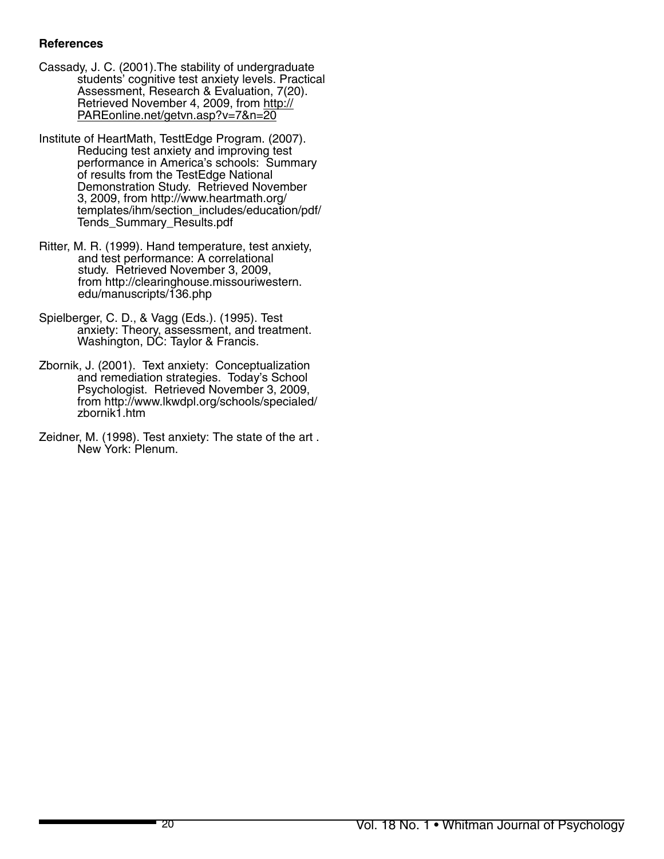# **References**

- Cassady, J. C. (2001).The stability of undergraduate students' cognitive test anxiety levels. Practical Assessment, Research & Evaluation, 7(20). Retrieved November 4, 2009, from http:// PAREonline.net/getvn.asp?v=7&n=20
- Institute of HeartMath, TesttEdge Program. (2007). Reducing test anxiety and improving test performance in America's schools: Summary of results from the TestEdge National Demonstration Study. Retrieved November 3, 2009, from http://www.heartmath.org/ templates/ihm/section\_includes/education/pdf/ Tends\_Summary\_Results.pdf
- Ritter, M. R. (1999). Hand temperature, test anxiety, and test performance: A correlational study. Retrieved November 3, 2009, from http://clearinghouse.missouriwestern. edu/manuscripts/136.php
- Spielberger, C. D., & Vagg (Eds.). (1995). Test anxiety: Theory, assessment, and treatment. Washington, DC: Taylor & Francis.
- Zbornik, J. (2001). Text anxiety: Conceptualization and remediation strategies. Today's School Psychologist. Retrieved November 3, 2009, from http://www.lkwdpl.org/schools/specialed/ zbornik1.htm
- Zeidner, M. (1998). Test anxiety: The state of the art . New York: Plenum.